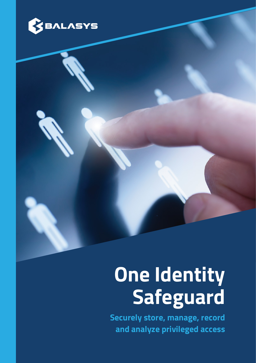

K)

# **One Identity Safeguard**

**Securely store, manage, record and analyze privileged access**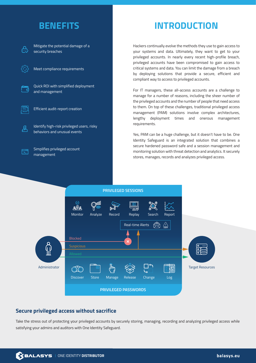

Mitigate the potential damage of a security breaches

Meet compliance requirements

Quick ROI with simplified deployment and management

Efficient audit-report creation

Identify high-risk privileged users, risky behaviors and unusual events

Simplifies privileged account management

尽

ੜਿੰ

## **BENEFITS INTRODUCTION**

Hackers continually evolve the methods they use to gain access to your systems and data. Ultimately, they want to get to your privileged accounts. In nearly every recent high-profile breach, privileged accounts have been compromised to gain access to critical systems and data. You can limit the damage from a breach by deploying solutions that provide a secure, efficient and compliant way to access to privileged accounts.

For IT managers, these all-access accounts are a challenge to manage for a number of reasons, including the sheer number of the privileged accounts and the number of people that need access to them. On top of these challenges, traditional privileged access management (PAM) solutions involve complex architectures, lengthy deployment times and onerous management requirements.

Yes, PAM can be a huge challenge, but it doesn't have to be. One Identity Safeguard is an integrated solution that combines a secure hardened password safe and a session management and monitoring solution with threat detection and analytics. It securely stores, manages, records and analyzes privileged access.



#### **Secure privileged access without sacrifice**

Take the stress out of protecting your privileged accounts by securely storing, managing, recording and analyzing privileged access while satisfying your admins and auditors with One Identity Safeguard.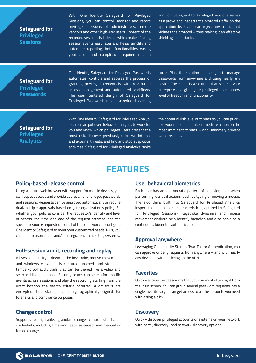**Safeguard for Privileged Sessions**

With One Identity Safeguard for Privileged Sessions, you can control, monitor and record privileged sessions of administrators, remote vendors and other high-risk users. Content of the recorded sessions is indexed, which makes finding session events easy later and helps simplify and automate reporting, both functionalities easing your audit and compliance requirements. In

addition, Safeguard for Privileged Sessions serves as a proxy, and inspects the protocol traffic on the application level and can reject any traffic that violates the protocol – thus making it an effective shield against attacks.

#### **Safeguard for Privileged Passwords**

One Identity Safeguard for Privileged Passwords automates, controls and secures the process of granting privileged credentials with role-based access management and automated workflows. The user centered design of Safeguard for Privileged Passwords means a reduced learning

curve. Plus, the solution enables you to manage passwords from anywhere and using nearly any device. The result is a solution that secures your enterprise and gives your privileged users a new level of freedom and functionality.

**Safeguard for Privileged Analytics**

With One Identity Safeguard for Privileged Analytics, you can put user-behavior analytics to work for you and know which privileged users present the most risk, discover previously unknown internal and external threats, and find and stop suspicious activities. Safeguard for Privileged Analytics ranks the potential risk level of threats so you can prioritize your response – take immediate action on the most imminent threats – and ultimately prevent data breaches.

### **FEATURES**

#### **Policy-based release control**

Using a secure web browser with support for mobile devices, you can request access and provide approval for privileged passwords and sessions. Requests can be approved automatically or require dual/multiple approvals based on your organization's policy. So whether your policies consider the requestor's identity and level of access, the time and day of the request attempt, and the specific resource requested – or all of these — you can configure One Identity Safeguard to meet your customized needs. Plus, you can input reason codes and/ or integrate with ticketing systems.

#### **Full-session audit, recording and replay**

All session activity – down to the keystroke, mouse movement, and windows viewed – is captured, indexed, and stored in tamper-proof audit trails that can be viewed like a video and searched like a database. Security teams can search for specific events across sessions and play the recording starting from the exact location the search criteria occurred. Audit trails are encrypted, time-stamped and cryptographically signed for forensics and compliance purposes.

#### **Change control**

Supports configurable, granular change control of shared credentials, including time-and last-use-based, and manual or forced change.

#### **User behavioral biometrics**

Each user has an idiosyncratic pattern of behavior, even when performing identical actions, such as typing or moving a mouse. The algorithms built into Safeguard for Privileged Analytics inspect these behavioral characteristics (captured by Safeguard for Privileged Sessions). Keystroke dynamics and mouse movement analysis help identify breaches and also serve as a continuous, biometric authentication.

#### **Approval anywhere**

Leveraging One Identity Starling Two-Factor Authentication, you can approve or deny requests from anywhere – and with nearly any device -- without being on the VPN.

#### **Favorites**

Quickly access the passwords that you use most often right from the login screen. You can group several password requests into a single favorite so you can get access to all the accounts you need with a single click.

#### **Discovery**

Quickly discover privileged accounts or systems on your network with host-, directory- and network-discovery options.